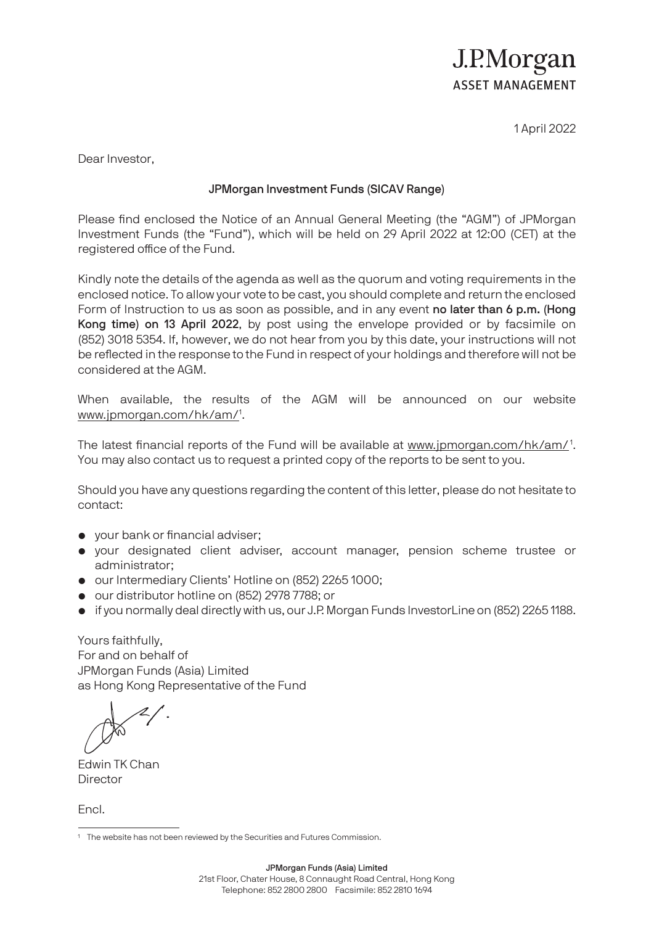### J.P.Morgan **ASSET MANAGEMENT**

1 April 2022

Dear Investor,

#### JPMorgan Investment Funds (SICAV Range)

Please find enclosed the Notice of an Annual General Meeting (the "AGM") of JPMorgan Investment Funds (the "Fund"), which will be held on 29 April 2022 at 12:00 (CET) at the registered office of the Fund.

Kindly note the details of the agenda as well as the quorum and voting requirements in the enclosed notice. To allow your vote to be cast, you should complete and return the enclosed Form of Instruction to us as soon as possible, and in any event no later than 6 p.m. (Hong Kong time) on 13 April 2022, by post using the envelope provided or by facsimile on (852) 3018 5354. If, however, we do not hear from you by this date, your instructions will not be reflected in the response to the Fund in respect of your holdings and therefore will not be considered at the AGM.

When available, the results of the AGM will be announced on our website www.jpmorgan.com/hk/am/<sup>1</sup>.

The latest financial reports of the Fund will be available at www.jpmorgan.com/hk/am/1. You may also contact us to request a printed copy of the reports to be sent to you.

Should you have any questions regarding the content of this letter, please do not hesitate to contact:

- your bank or financial adviser;
- your designated client adviser, account manager, pension scheme trustee or administrator;
- our Intermediary Clients' Hotline on (852) 2265 1000;
- our distributor hotline on (852) 2978 7788; or
- if you normally deal directly with us, our J.P. Morgan Funds InvestorLine on (852) 2265 1188.

Yours faithfully, For and on behalf of JPMorgan Funds (Asia) Limited as Hong Kong Representative of the Fund

Edwin TK Chan **Director** 

Encl.

<sup>1</sup> The website has not been reviewed by the Securities and Futures Commission.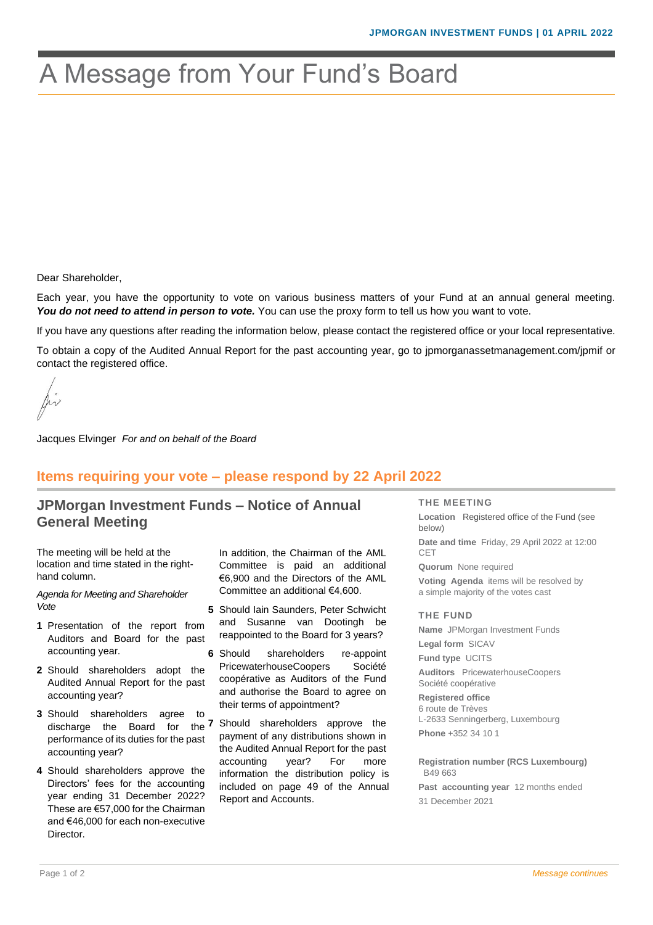## A Message from Your Fund's Board

Dear Shareholder,

Each year, you have the opportunity to vote on various business matters of your Fund at an annual general meeting. You do not need to attend in person to vote. You can use the proxy form to tell us how you want to vote.

If you have any questions after reading the information below, please contact the registered office or your local representative.

To obtain a copy of the Audited Annual Report for the past accounting year, go to jpmorganassetmanagement.com/jpmif or contact the registered office.

Jacques Elvinger *For and on behalf of the Board*

#### **Items requiring your vote – please respond by 22 April 2022**

#### **JPMorgan Investment Funds – Notice of Annual General Meeting**

The meeting will be held at the location and time stated in the righthand column.

*Agenda for Meeting and Shareholder Vote*

- **1** Presentation of the report from Auditors and Board for the past accounting year.
- **2** Should shareholders adopt the Audited Annual Report for the past accounting year?
- **3** Should shareholders agree to performance of its duties for the past accounting year?
- **4** Should shareholders approve the Directors' fees for the accounting year ending 31 December 2022? These are €57,000 for the Chairman and €46,000 for each non-executive Director.

In addition, the Chairman of the AML Committee is paid an additional €6,900 and the Directors of the AML Committee an additional €4,600.

- **5** Should Iain Saunders, Peter Schwicht and Susanne van Dootingh be reappointed to the Board for 3 years?
- **6** Should shareholders re-appoint PricewaterhouseCoopers Société coopérative as Auditors of the Fund and authorise the Board to agree on their terms of appointment?
- discharge the Board for the **7** Should shareholders approve the payment of any distributions shown in the Audited Annual Report for the past accounting year? For more information the distribution policy is included on page 49 of the Annual Report and Accounts.

**THE MEETING**

**Location** Registered office of the Fund (see below) **Date and time** Friday, 29 April 2022 at 12:00 CET

**Quorum** None required **Voting Agenda** items will be resolved by a simple majority of the votes cast

**THE FUND**

**Name** JPMorgan Investment Funds **Legal form** SICAV **Fund type** UCITS **Auditors** PricewaterhouseCoopers Société coopérative **Registered office**

6 route de Trèves L-2633 Senningerberg, Luxembourg **Phone** +352 34 10 1

**Registration number (RCS Luxembourg)** B49 663

**Past accounting year** 12 months ended 31 December 2021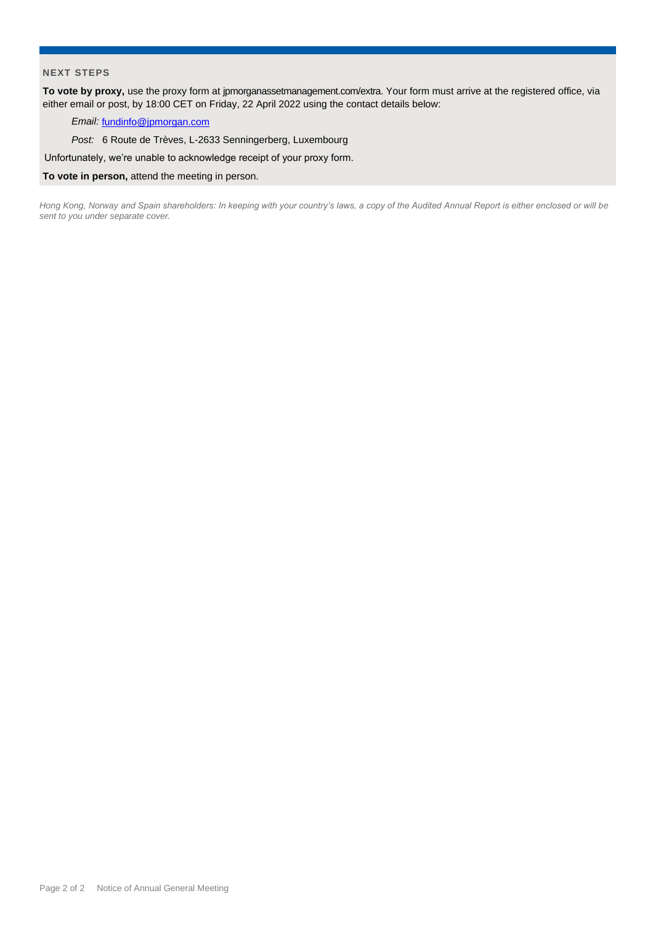#### **NEXT STEPS**

**To vote by proxy,** use the proxy form at jpmorganassetmanagement.com/extra. Your form must arrive at the registered office, via either email or post, by 18:00 CET on Friday, 22 April 2022 using the contact details below:

#### *Email:* [fundinfo@jpmorgan.com](mailto:fundinfo@jpmorgan.com)

*Post:* 6 Route de Trèves, L-2633 Senningerberg, Luxembourg

Unfortunately, we're unable to acknowledge receipt of your proxy form.

#### **To vote in person,** attend the meeting in person.

*Hong Kong, Norway and Spain shareholders: In keeping with your country's laws, a copy of the Audited Annual Report is either enclosed or will be sent to you under separate cover.*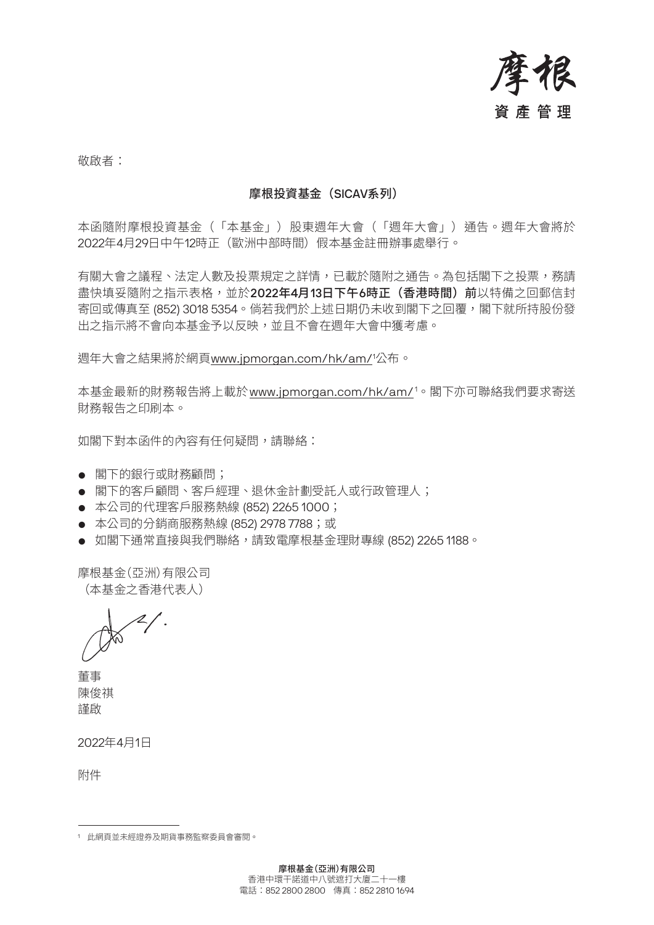

敬啟者:

#### 摩根投資基金(SICAV系列)

本函隨附摩根投資基金(「本基金」)股東週年大會(「週年大會」)通告。週年大會將於 2022年4月29日中午12時正(歐洲中部時間)假本基金註冊辦事處舉行。

有關大會之議程、法定人數及投票規定之詳情,已載於隨附之通告。為包括閣下之投票,務請 盡快填妥隨附之指示表格,並於**2022年4月13日下午6時正(香港時間)前**以特備之回郵信封 寄回或傳真至 (852) 3018 5354。倘若我們於上述日期仍未收到閣下之回覆,閣下就所持股份發 出之指示將不會向本基金予以反映,並且不會在週年大會中獲考慮。

週年大會之結果將於網頁<u>www.jpmorgan.com/hk/am/</u>'公布。

本基金最新的財務報告將上載於 <u>www.jpmorgan.com/hk/am/</u>1。閣下亦可聯絡我們要求寄送 財務報告之印刷本。

如閣下對本函件的內容有任何疑問,請聯絡:

- 閣下的銀行或財務顧問;
- 閣下的客戶顧問、客戶經理、退休金計劃受託人或行政管理人;
- 本公司的代理客戶服務熱線 (852) 2265 1000;
- 本公司的分銷商服務熱線 (852) 2978 7788;或
- 如閣下通常直接與我們聯絡,請致雷摩根基金理財專線 (852) 2265 1188。

摩根基金(亞洲)有限公司 (本基金之香港代表人)

董事 陳俊祺 謹啟

2022年4月1日

附件

<sup>1</sup> 此網頁並未經證券及期貨事務監察委員會審閱。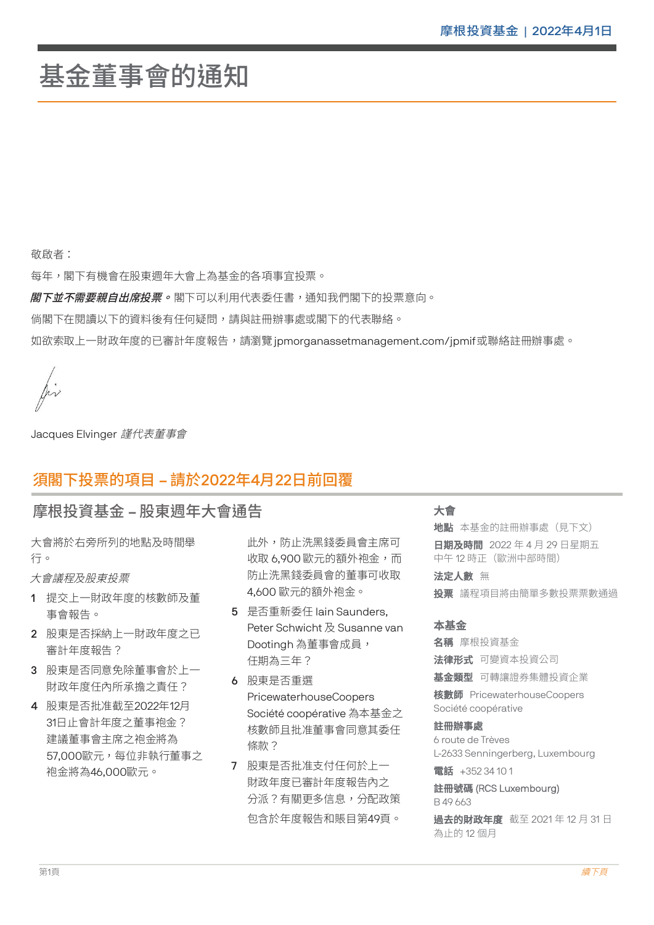# 基金董事會的通知

敬啟者:

每年,閣下有機曾在股東週年大曾上為基金的各項事宜投票。<br>———————————————————— 

*閣下並不需要親自出席投票。***閣下可以利用代表委任書,通知我們閣下的投票意向。**  

倘閣卜在閱讀以卜的資料後有仕何疑問,請與註卌辦事處或閣卜的代表聯絡。

如欲索取上一財政年度的已審計年度報告,請瀏覽 jpmorganassetmanagement.com/jpmif 或聯絡註冊辦事處。

 $\int \!\!\! \int \!\!\! \cdot \,$ 

Jacques Elvinger 謹代表董事會

#### 須閣下投票的項目 – 請於2022年4月22日前回覆 <del>▓</del><br>▓▓▒▓▓▓▓▓▓▓▓▓▓▓

#### 摩根投資基金 – 股東週年大會通告 大會  $\sim$   $\sim$   $\sim$   $\sim$   $\sim$   $\sim$

大會將於右旁所列的地點及時間舉 行。  $\equiv$   $\sim$  $\mathbf{L}$  and  $\mathbf{L}$  and  $\mathbf{L}$  and  $\mathbf{L}$  and  $\mathbf{L}$  and  $\mathbf{L}$  and  $\mathbf{L}$  and  $\mathbf{L}$ 

大會議程及股東投票

- 1 提交上一財政年度的核數師及董 事會報告。
- 2 股東是否採納上一財政年度之已 審計年度報告? JX木,  $\mathbb{H}$   $\mathbb{H}$   $\mathbb{R}$   $\mathbb{R}$   $\mathbb{R}$   $\mathbb{R}$   $\mathbb{R}$   $\mathbb{R}$   $\mathbb{R}$   $\mathbb{R}$   $\mathbb{R}$   $\mathbb{R}$   $\mathbb{R}$   $\mathbb{R}$   $\mathbb{R}$   $\mathbb{R}$   $\mathbb{R}$   $\mathbb{R}$   $\mathbb{R}$   $\mathbb{R}$   $\mathbb{R}$   $\mathbb{R}$   $\mathbb{R}$   $\mathbb{R}$   $\mathbb{$
- 3 股東是否同意免除董事會於上一 財政年度任內所承擔之責任?
- 4 股東是否批准截至2022年12月 31日止會計年度之董事袍金? 建議董事會主席之袍金將為 57,000歐元,每位非執行董事之 袍金將為46,000歐元。 31口止百可 十反之里 尹恺亚:

此外,防止洗黑錢委員會主席可 收取 6,900 歐元的額外袍金,而 防止洗黑錢委員會的董事可收取 4,600 歐元的額外袍金。 叻止沆羔竣安貝曾旳里争

- 5 是否重新委任 Iain Saunders, Peter Schwicht 及 Susanne van . Star Scriment, <sub>XX</sub> Securime .<br>Dootingh 為董事會成員, 任期為三年?  $\overline{J}$   $\overline{L}$   $\overline{L}$   $\overline{L}$   $\overline{L}$   $\overline{L}$   $\overline{L}$   $\overline{L}$   $\overline{L}$ D00tingn 為里争買以貝
- 6 股東是否重選 PricewaterhouseCoopers Société coopérative 為本基金之 核數師且批准董事會同意其委任 **1除款?** 1888만11116/山主尹 日 円 心テ<br>.....
- 7 股東是否批准支付任何於上一 財政年度已審計年度報告內之 分派?有關更多信息,分配政策 包含於年度報告和賬目第49頁。  $\begin{array}{c}\n\hline\n\end{array}\n\quad \text{and}\n\begin{array}{c}\n\hline\n\end{array}\n\quad \text{and}\n\begin{array}{c}\n\hline\n\end{array}\n\quad \text{and}\n\begin{array}{c}\n\hline\n\end{array}\n\quad \text{and}\n\begin{array}{c}\n\hline\n\end{array}\n\quad \text{and}\n\begin{array}{c}\n\hline\n\end{array}\n\quad \text{and}\n\begin{array}{c}\n\hline\n\end{array}\n\quad \text{and}\n\begin{array}{c}\n\hline\n\end{array}\n\quad \text{and}\n\begin{array}{c}\n\hline\n$  $2.77$   $\mu$   $\lambda$   $\lambda$   $\mu$   $\mu$   $\lambda$   $\lambda$   $\mu$   $\mu$   $\lambda$   $\lambda$

#### 大會

**地點** 本基金的註冊辦事處(見下文) **日期及時間** 2022 年 4 月 29 日星期五 中午 12 時正(歐洲中部時間) 法定人數 無 a serika yang ditenasi dan kalendar dan banyak dan banyak dalam kalendar dan banyak dalam banyak dalam banyak<br>Sejarah dan banyak dan banyak dan banyak dan banyak dan banyak dalam banyak dalam banyak dalam banyak dalam ba

**投票** 議程項目將由簡單多數投票票數通過 **汉呆** 我任快日府田間早夕

#### 本基金

名稱 摩根投資基金 **法律形式** 可變資本投資公司 **基金類型** 可轉讓證券集體投資企業 核數師 PricewaterhouseCoopers Société coopérative 註冊辦事處 6 route de Trèves L-2633 Senningerberg, Luxembourg **POPIELE COO** 

電話 +352 34 10 1 e de la provincia de la provincia de la provincia de la provincia de la provincia de la provincia de la provin<br>De la provincia de la provincia de la provincia de la provincia de la provincia de la provincia de la provinci

#### 註冊號碼 (RCS Luxembourg) B 49 663

過去的財政年度 截至 2021 年 12 月 31 日 為止的 12 個月